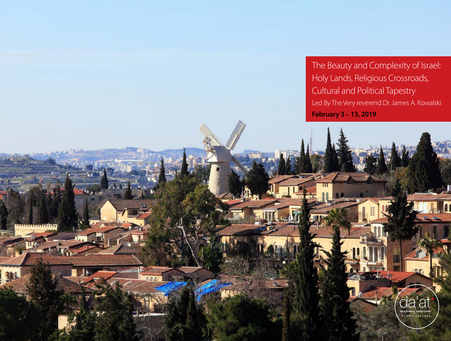The Beauty and Complexity of Israel: Holy Lands, Religious Crossroads, Cultural and Political Tapestry Led By The Very reverend Dr. James A. Kowalski **February 3 – 13, 2019**

**LES** 

da'at

.<br>דעת | k n o w l e d g e

EDUCATION

minimum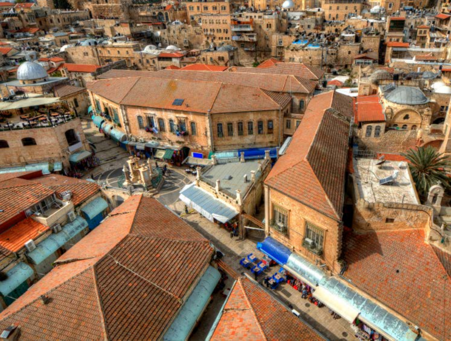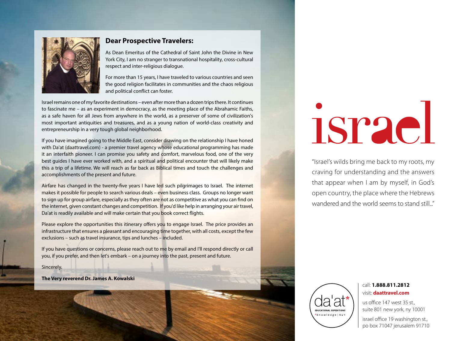

#### **Dear Prospective Travelers:**

As Dean Emeritus of the Cathedral of Saint John the Divine in New York City, I am no stranger to transnational hospitality, cross-cultural respect and inter-religious dialogue.

For more than 15 years, I have traveled to various countries and seen the good religion facilitates in communities and the chaos religious and political conflict can foster.

Israel remains one of my favorite destinations – even after more than a dozen trips there. It continues to fascinate me – as an experiment in democracy, as the meeting place of the Abrahamic Faiths, as a safe haven for all Jews from anywhere in the world, as a preserver of some of civilization's most important antiquities and treasures, and as a young nation of world-class creativity and entrepreneurship in a very tough global neighborhood.

If you have imagined going to the Middle East, consider drawing on the relationship I have honed with Da'at (daattravel.com) - a premier travel agency whose educational programming has made it an interfaith pioneer. I can promise you safety and comfort, marvelous food, one of the very best guides I have ever worked with, and a spiritual and political encounter that will likely make this a trip of a lifetime. We will reach as far back as Biblical times and touch the challenges and accomplishments of the present and future.

Airfare has changed in the twenty-five years I have led such pilgrimages to Israel. The internet makes it possible for people to search various deals – even business class. Groups no longer want to sign up for group airfare, especially as they often are not as competitive as what you can find on the internet, given constant changes and competition. If you'd like help in arranging your air travel, Da'at is readily available and will make certain that you book correct flights.

Please explore the opportunities this itinerary offers you to engage Israel. The price provides an infrastructure that ensures a pleasant and encouraging time together, with all costs, except the few exclusions – such as travel insurance, tips and lunches – included.

If you have questions or concerns, please reach out to me by email and I'll respond directly or call you, if you prefer, and then let's embark – on a journey into the past, present and future.

Sincerely.

**The Very reverend Dr. James A. Kowalski**

# israel

"Israel's wilds bring me back to my roots, my craving for understanding and the answers that appear when I am by myself, in God's open country, the place where the Hebrews wandered and the world seems to stand still."



#### call: **1.888.811.2812** visit: **daattravel.com**

us office 147 west 35 st., suite 801 new york, ny 10001

israel office 19 washington st., po box 71047 jerusalem 91710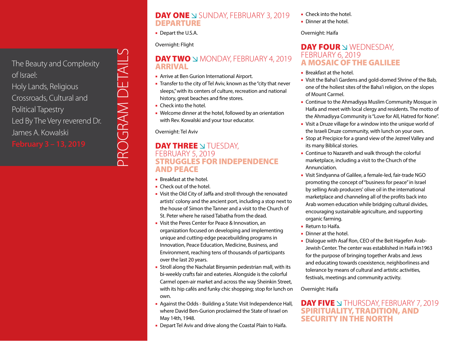The Beauty and Complexity of Israel: Holy Lands, Religious Crossroads, Cultural and Political Tapestry Led By The Very reverend Dr. James A. Kowalski

## **DAY ONE SUNDAY, FEBRUARY 3, 2019** DEPARTURE

Depart the U.S.A.

Overnight: Flight

# **DAY TWO** & MONDAY, FEBRUARY 4, 2019 ARRIVAL

- **Arrive at Ben Gurion International Airport.**
- **Transfer to the city of Tel Aviv, known as the "city that never** sleeps," with its centers of culture, recreation and national history, great beaches and fine stores.
- **Check into the hotel.**
- Welcome dinner at the hotel, followed by an orientation with Rev. Kowalski and your tour educator.

Overnight: Tel Aviv

 $\widetilde{\Gamma}$ 

OGRAM D

ETAILS

## DAY THREE **SITUESDAY,** February 5, 2019 STRUGGLES FOR INDEPENDENCE AND PEACE

- **Breakfast at the hotel.**
- **Check out of the hotel.**
- Visit the Old City of Jaffa and stroll through the renovated artists' colony and the ancient port, including a stop next to the house of Simon the Tanner and a visit to the Church of St. Peter where he raised Tabatha from the dead.
- Visit the Peres Center for Peace & Innovation, an organization focused on developing and implementing unique and cutting-edge peacebuilding programs in Innovation, Peace Education, Medicine, Business, and Environment, reaching tens of thousands of participants over the last 20 years.
- Stroll along the Nachalat Binyamin pedestrian mall, with its bi-weekly crafts fair and eateries. Alongside is the colorful Carmel open-air market and across the way Sheinkin Street, with its hip cafés and funky chic shopping; stop for lunch on own.
- Against the Odds Building a State: Visit Independence Hall, where David Ben-Gurion proclaimed the State of Israel on May 14th, 1948.
- **Depart Tel Aviv and drive along the Coastal Plain to Haifa.**
- **Check into the hotel.**
- Dinner at the hotel

Overnight: Haifa

## DAY FOUR NN WEDNESDAY, February 6, 2019 A MOSAIC OF THE GALILEE

- **Breakfast at the hotel.**
- Visit the Baha'i Gardens and gold-domed Shrine of the Bab, one of the holiest sites of the Baha'i religion, on the slopes of Mount Carmel.
- **Continue to the Ahmadiyya Muslim Community Mosque in** Haifa and meet with local clergy and residents. The motto of the Ahmadiyya Community is "Love for All, Hatred for None".
- Visit a Druze village for a window into the unique world of the Israeli Druze community, with lunch on your own.
- Stop at Precipice for a grand view of the Jezreel Valley and its many Biblical stories.
- **Continue to Nazareth and walk through the colorful** marketplace, including a visit to the Church of the Annunciation.
- Visit Sindyanna of Galilee, a female-led, fair-trade NGO promoting the concept of "business for peace" in Israel by selling Arab producers' olive oil in the international marketplace and channeling all of the profits back into Arab women education while bridging cultural divides, encouraging sustainable agriculture, and supporting organic farming.
- **Return to Haifa.**
- Dinner at the hotel.
- Dialogue with Asaf Ron, CEO of the Beit Hagefen Arab-Jewish Center. The center was established in Haifa in1963 for the purpose of bringing together Arabs and Jews and educating towards coexistence, neighborliness and tolerance by means of cultural and artistic activities, festivals, meetings and community activity.

# Overnight: Haifa

# Day Five Thursday, February 7, 2019 SPIRITUALITY, TRADITION, AND SECURITY IN THE NORTH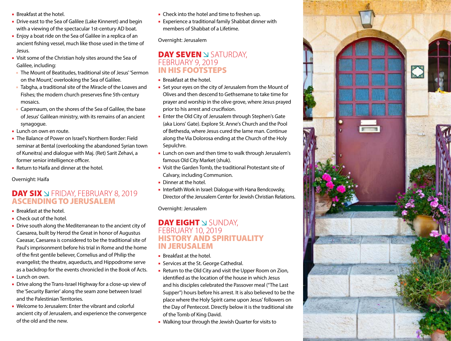- **Breakfast at the hotel.**
- **Drive east to the Sea of Galilee (Lake Kinneret) and begin** with a viewing of the spectacular 1st-century AD boat.
- Enjoy a boat ride on the Sea of Galilee in a replica of an ancient fishing vessel, much like those used in the time of Jesus.
- Visit some of the Christian holy sites around the Sea of Galilee, including:
- The Mount of Beatitudes, traditional site of Jesus' 'Sermon on the Mount,' overlooking the Sea of Galilee.
- Tabgha, a traditional site of the Miracle of the Loaves and Fishes; the modern church preserves fine 5th-century mosaics.
- Capernaum, on the shores of the Sea of Galilee, the base of Jesus' Galilean ministry, with its remains of an ancient synagogue.
- **Lunch on own en route.**
- **The Balance of Power on Israel's Northern Border: Field** seminar at Bental (overlooking the abandoned Syrian town of Kuneitra) and dialogue with Maj. (Ret) Sarit Zehavi, a former senior intelligence officer.
- Return to Haifa and dinner at the hotel.

Overnight: Haifa

## Day Six Friday, February 8, 2019 ASCENDING TO JERUSALEM

- **Breakfast at the hotel.**
- **Check out of the hotel.**
- Drive south along the Mediterranean to the ancient city of Caesarea, built by Herod the Great in honor of Augustus Caeasar, Caesarea is considered to be the traditional site of Paul's imprisonment before his trial in Rome and the home of the first gentile believer, Cornelius and of Philip the evangelist; the theatre, aqueducts, and Hippodrome serve as a backdrop for the events chronicled in the Book of Acts.
- **Lunch on own.**
- Drive along the Trans-Israel Highway for a close-up view of the 'Security Barrier' along the seam zone between Israel and the Palestinian Territories.
- **Welcome to Jerusalem: Enter the vibrant and colorful** ancient city of Jerusalem, and experience the convergence of the old and the new.
- **Check into the hotel and time to freshen up.**
- **Experience a traditional family Shabbat dinner with** members of Shabbat of a Lifetime.

Overnight: Jerusalem

## DAY SEVEN **SATURDAY,** FEBRUARY 9, 2019 IN HIS FOOTSTEPS

- **Breakfast at the hotel.**
- Set your eyes on the city of Jerusalem from the Mount of Olives and then descend to Gethsemane to take time for prayer and worship in the olive grove, where Jesus prayed prior to his arrest and crucifixion.
- **Enter the Old City of Jerusalem through Stephen's Gate** (aka Lions' Gate). Explore St. Anne's Church and the Pool of Bethesda, where Jesus cured the lame man. Continue along the Via Dolorosa ending at the Church of the Holy Sepulchre.
- **Lunch on own and then time to walk through Jerusalem's** famous Old City Market (shuk).
- Visit the Garden Tomb, the traditional Protestant site of Calvary, including Communion.
- Dinner at the hotel.
- **Interfaith Work in Israel: Dialogue with Hana Bendcowsky,** Director of the Jerusalem Center for Jewish Christian Relations.

Overnight: Jerusalem

## **DAY EIGHT SUNDAY,** February 10, 2019 HISTORY AND SPIRITUALITY IN JERUSALEM

- **Breakfast at the hotel.**
- **Services at the St. George Cathedral.**
- Return to the Old City and visit the Upper Room on Zion, identified as the location of the house in which Jesus and his disciples celebrated the Passover meal ("The Last Supper") hours before his arrest. It is also believed to be the place where the Holy Spirit came upon Jesus' followers on the Day of Pentecost. Directly below it is the traditional site of the Tomb of King David.
- Walking tour through the Jewish Quarter for visits to

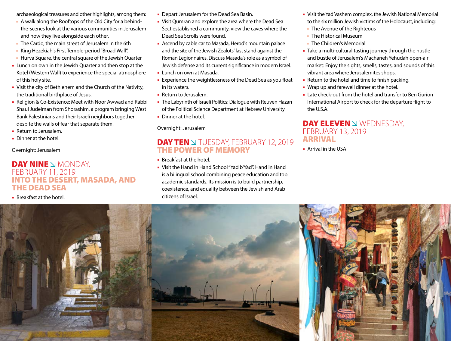archaeological treasures and other highlights, among them:

- A walk along the Rooftops of the Old City for a behindthe-scenes look at the various communities in Jerusalem and how they live alongside each other.
- The Cardo, the main street of Jerusalem in the 6th
- King Hezekiah's First Temple-period "Broad Wall".
- Hurva Square, the central square of the Jewish Quarter
- **Lunch on own in the Jewish Quarter and then stop at the** Kotel (Western Wall) to experience the special atmosphere of this holy site.
- Visit the city of Bethlehem and the Church of the Nativity, the traditional birthplace of Jesus.
- Religion & Co-Existence: Meet with Noor Awwad and Rabbi Shaul Judelman from Shorashim, a program bringing West Bank Palestinians and their Israeli neighbors together despite the walls of fear that separate them.
- **Return to Jerusalem.**
- Dinner at the hotel.

Overnight: Jerusalem

#### DAY NINE & MONDAY, February 11, 2019 INTO THE DESERT, MASADA, AND THE DEAD SEA

**Breakfast at the hotel.** 

- **Depart Jerusalem for the Dead Sea Basin.**
- Visit Qumran and explore the area where the Dead Sea Sect established a community, view the caves where the Dead Sea Scrolls were found.
- **Ascend by cable car to Masada, Herod's mountain palace** and the site of the Jewish Zealots' last stand against the Roman Legionnaires. Discuss Masada's role as a symbol of Jewish defense and its current significance in modern Israel.
- $\blacksquare$  Lunch on own at Masada.
- **Experience the weightlessness of the Dead Sea as you float** in its waters.
- **Return to Jerusalem.**
- **The Labyrinth of Israeli Politics: Dialogue with Reuven Hazan** of the Political Science Department at Hebrew University.
- Dinner at the hotel.

Overnight: Jerusalem

## DAY TEN ע TUESDAY, FEBRUARY 12, 2019 THE POWER OF MEMORY

- **Breakfast at the hotel.**
- Visit the Hand in Hand School "Yad b'Yad". Hand in Hand is a bilingual school combining peace education and top academic standards. Its mission is to build partnership, coexistence, and equality between the Jewish and Arab citizens of Israel.
- Visit the Yad Vashem complex, the Jewish National Memorial to the six million Jewish victims of the Holocaust, including:
	- **The Avenue of the Righteous**
	- **The Historical Museum**
	- **The Children's Memorial**
- Take a multi-cultural tasting journey through the hustle and bustle of Jerusalem's Machaneh Yehudah open-air market: Enjoy the sights, smells, tastes, and sounds of this vibrant area where Jerusalemites shops.
- Return to the hotel and time to finish packing.
- **Wrap up and farewell dinner at the hotel.**
- **Late check-out from the hotel and transfer to Ben Gurion** International Airport to check for the departure flight to the U.S.A.

#### DAY ELEVEN **WWW**EDNESDAY, February 13, 2019 ARRIVAL

Arrival in the USA

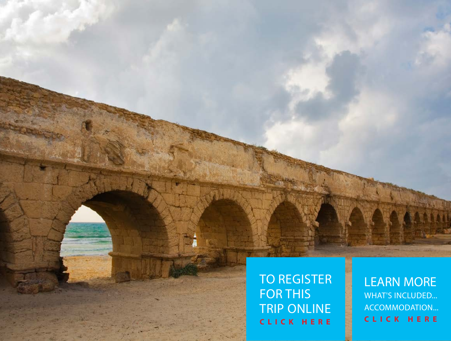TO REGISTER FOR THIS TRIP ONLINE **CLICK HERE**

[LEARN MORE](https://daattravel.com/Cms/Package/38340??r_n_d=6498&ProductCode=38340&Custom=prod&CustomCode=38340&Theme=DAAT&NoCache=Y&NoRedirect=Y#itinerary) WHAT'S INCLUDED... ACCOMMODATION... **CLICK HERE**